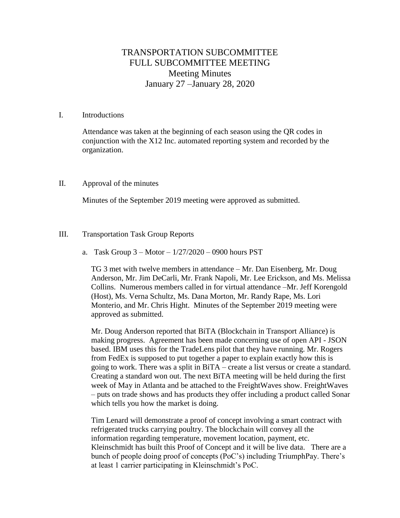# TRANSPORTATION SUBCOMMITTEE FULL SUBCOMMITTEE MEETING Meeting Minutes January 27 –January 28, 2020

## I. Introductions

Attendance was taken at the beginning of each season using the QR codes in conjunction with the X12 Inc. automated reporting system and recorded by the organization.

## II. Approval of the minutes

Minutes of the September 2019 meeting were approved as submitted.

# III. Transportation Task Group Reports

a. Task Group  $3 -$ Motor  $- 1/27/2020 - 0900$  hours PST

TG 3 met with twelve members in attendance – Mr. Dan Eisenberg, Mr. Doug Anderson, Mr. Jim DeCarli, Mr. Frank Napoli, Mr. Lee Erickson, and Ms. Melissa Collins. Numerous members called in for virtual attendance –Mr. Jeff Korengold (Host), Ms. Verna Schultz, Ms. Dana Morton, Mr. Randy Rape, Ms. Lori Monterio, and Mr. Chris Hight. Minutes of the September 2019 meeting were approved as submitted.

Mr. Doug Anderson reported that BiTA (Blockchain in Transport Alliance) is making progress. Agreement has been made concerning use of open API - JSON based. IBM uses this for the TradeLens pilot that they have running. Mr. Rogers from FedEx is supposed to put together a paper to explain exactly how this is going to work. There was a split in BiTA – create a list versus or create a standard. Creating a standard won out. The next BiTA meeting will be held during the first week of May in Atlanta and be attached to the FreightWaves show. FreightWaves – puts on trade shows and has products they offer including a product called Sonar which tells you how the market is doing.

Tim Lenard will demonstrate a proof of concept involving a smart contract with refrigerated trucks carrying poultry. The blockchain will convey all the information regarding temperature, movement location, payment, etc. Kleinschmidt has built this Proof of Concept and it will be live data. There are a bunch of people doing proof of concepts (PoC's) including TriumphPay. There's at least 1 carrier participating in Kleinschmidt's PoC.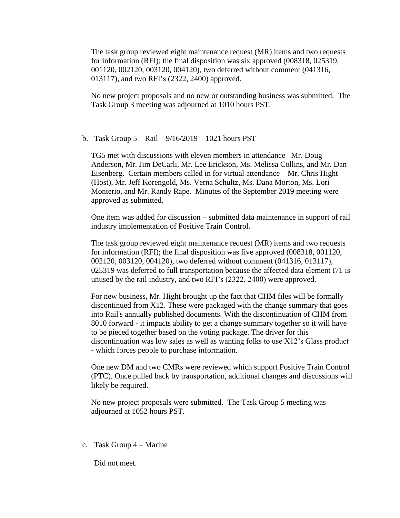The task group reviewed eight maintenance request (MR) items and two requests for information (RFI); the final disposition was six approved (008318, 025319, 001120, 002120, 003120, 004120), two deferred without comment (041316, 013117), and two RFI's (2322, 2400) approved.

No new project proposals and no new or outstanding business was submitted. The Task Group 3 meeting was adjourned at 1010 hours PST.

#### b. Task Group  $5 - \text{Rail} - \frac{9}{16}{2019} - \frac{1021}{100}$  hours PST

TG5 met with discussions with eleven members in attendance– Mr. Doug Anderson, Mr. Jim DeCarli, Mr. Lee Erickson, Ms. Melissa Collins, and Mr. Dan Eisenberg. Certain members called in for virtual attendance – Mr. Chris Hight (Host), Mr. Jeff Korengold, Ms. Verna Schultz, Ms. Dana Morton, Ms. Lori Monterio, and Mr. Randy Rape. Minutes of the September 2019 meeting were approved as submitted.

One item was added for discussion – submitted data maintenance in support of rail industry implementation of Positive Train Control.

The task group reviewed eight maintenance request (MR) items and two requests for information (RFI); the final disposition was five approved (008318, 001120, 002120, 003120, 004120), two deferred without comment (041316, 013117), 025319 was deferred to full transportation because the affected data element I71 is unused by the rail industry, and two RFI's (2322, 2400) were approved.

For new business, Mr. Hight brought up the fact that CHM files will be formally discontinued from X12. These were packaged with the change summary that goes into Rail's annually published documents. With the discontinuation of CHM from 8010 forward - it impacts ability to get a change summary together so it will have to be pieced together based on the voting package. The driver for this discontinuation was low sales as well as wanting folks to use X12's Glass product - which forces people to purchase information.

One new DM and two CMRs were reviewed which support Positive Train Control (PTC). Once pulled back by transportation, additional changes and discussions will likely be required.

No new project proposals were submitted. The Task Group 5 meeting was adjourned at 1052 hours PST.

c. Task Group 4 – Marine

Did not meet.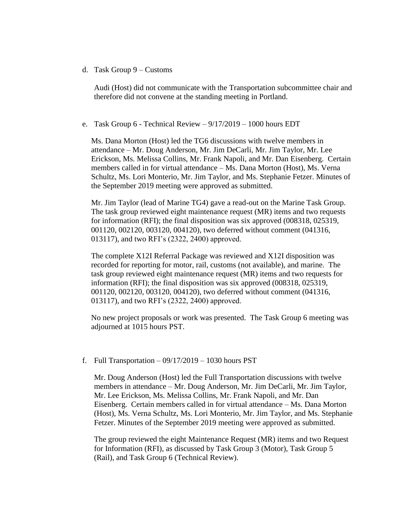## d. Task Group 9 – Customs

Audi (Host) did not communicate with the Transportation subcommittee chair and therefore did not convene at the standing meeting in Portland.

## e. Task Group 6 - Technical Review – 9/17/2019 – 1000 hours EDT

Ms. Dana Morton (Host) led the TG6 discussions with twelve members in attendance – Mr. Doug Anderson, Mr. Jim DeCarli, Mr. Jim Taylor, Mr. Lee Erickson, Ms. Melissa Collins, Mr. Frank Napoli, and Mr. Dan Eisenberg. Certain members called in for virtual attendance – Ms. Dana Morton (Host), Ms. Verna Schultz, Ms. Lori Monterio, Mr. Jim Taylor, and Ms. Stephanie Fetzer. Minutes of the September 2019 meeting were approved as submitted.

Mr. Jim Taylor (lead of Marine TG4) gave a read-out on the Marine Task Group. The task group reviewed eight maintenance request (MR) items and two requests for information (RFI); the final disposition was six approved (008318, 025319, 001120, 002120, 003120, 004120), two deferred without comment (041316, 013117), and two RFI's (2322, 2400) approved.

The complete X12I Referral Package was reviewed and X12I disposition was recorded for reporting for motor, rail, customs (not available), and marine. The task group reviewed eight maintenance request (MR) items and two requests for information (RFI); the final disposition was six approved (008318, 025319, 001120, 002120, 003120, 004120), two deferred without comment (041316, 013117), and two RFI's (2322, 2400) approved.

No new project proposals or work was presented. The Task Group 6 meeting was adjourned at 1015 hours PST.

# f. Full Transportation  $-09/17/2019 - 1030$  hours PST

Mr. Doug Anderson (Host) led the Full Transportation discussions with twelve members in attendance – Mr. Doug Anderson, Mr. Jim DeCarli, Mr. Jim Taylor, Mr. Lee Erickson, Ms. Melissa Collins, Mr. Frank Napoli, and Mr. Dan Eisenberg. Certain members called in for virtual attendance – Ms. Dana Morton (Host), Ms. Verna Schultz, Ms. Lori Monterio, Mr. Jim Taylor, and Ms. Stephanie Fetzer. Minutes of the September 2019 meeting were approved as submitted.

The group reviewed the eight Maintenance Request (MR) items and two Request for Information (RFI), as discussed by Task Group 3 (Motor), Task Group 5 (Rail), and Task Group 6 (Technical Review).